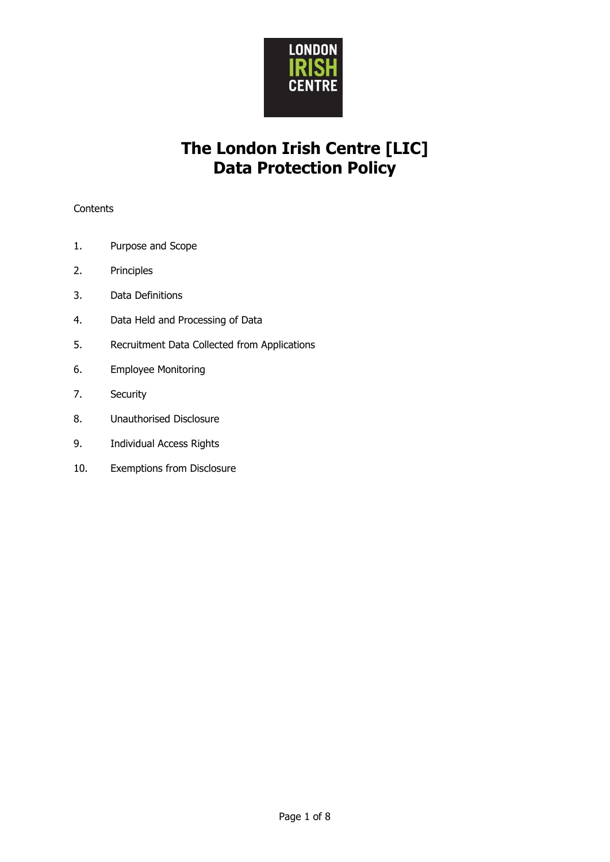

# **The London Irish Centre [LIC] Data Protection Policy**

## **Contents**

- 1. Purpose and Scope
- 2. Principles
- 3. Data Definitions
- 4. Data Held and Processing of Data
- 5. Recruitment Data Collected from Applications
- 6. Employee Monitoring
- 7. Security
- 8. Unauthorised Disclosure
- 9. Individual Access Rights
- 10. Exemptions from Disclosure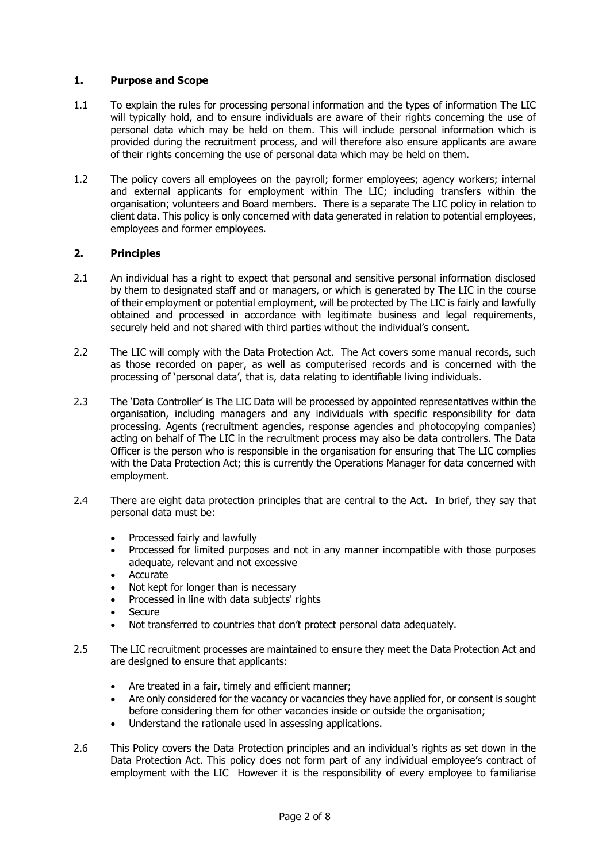## **1. Purpose and Scope**

- 1.1 To explain the rules for processing personal information and the types of information The LIC will typically hold, and to ensure individuals are aware of their rights concerning the use of personal data which may be held on them. This will include personal information which is provided during the recruitment process, and will therefore also ensure applicants are aware of their rights concerning the use of personal data which may be held on them.
- 1.2 The policy covers all employees on the payroll; former employees; agency workers; internal and external applicants for employment within The LIC; including transfers within the organisation; volunteers and Board members. There is a separate The LIC policy in relation to client data. This policy is only concerned with data generated in relation to potential employees, employees and former employees.

## **2. Principles**

- 2.1 An individual has a right to expect that personal and sensitive personal information disclosed by them to designated staff and or managers, or which is generated by The LIC in the course of their employment or potential employment, will be protected by The LIC is fairly and lawfully obtained and processed in accordance with legitimate business and legal requirements, securely held and not shared with third parties without the individual's consent.
- 2.2 The LIC will comply with the Data Protection Act. The Act covers some manual records, such as those recorded on paper, as well as computerised records and is concerned with the processing of 'personal data', that is, data relating to identifiable living individuals.
- 2.3 The 'Data Controller' is The LIC Data will be processed by appointed representatives within the organisation, including managers and any individuals with specific responsibility for data processing. Agents (recruitment agencies, response agencies and photocopying companies) acting on behalf of The LIC in the recruitment process may also be data controllers. The Data Officer is the person who is responsible in the organisation for ensuring that The LIC complies with the Data Protection Act; this is currently the Operations Manager for data concerned with employment.
- 2.4 There are eight data protection principles that are central to the Act. In brief, they say that personal data must be:
	- Processed fairly and lawfully
	- Processed for limited purposes and not in any manner incompatible with those purposes adequate, relevant and not excessive
	- **Accurate**
	- Not kept for longer than is necessary
	- Processed in line with data subjects' rights
	- **Secure**
	- Not transferred to countries that don't protect personal data adequately.
- 2.5 The LIC recruitment processes are maintained to ensure they meet the Data Protection Act and are designed to ensure that applicants:
	- Are treated in a fair, timely and efficient manner;
	- Are only considered for the vacancy or vacancies they have applied for, or consent is sought before considering them for other vacancies inside or outside the organisation;
	- Understand the rationale used in assessing applications.
- 2.6 This Policy covers the Data Protection principles and an individual's rights as set down in the Data Protection Act. This policy does not form part of any individual employee's contract of employment with the LIC However it is the responsibility of every employee to familiarise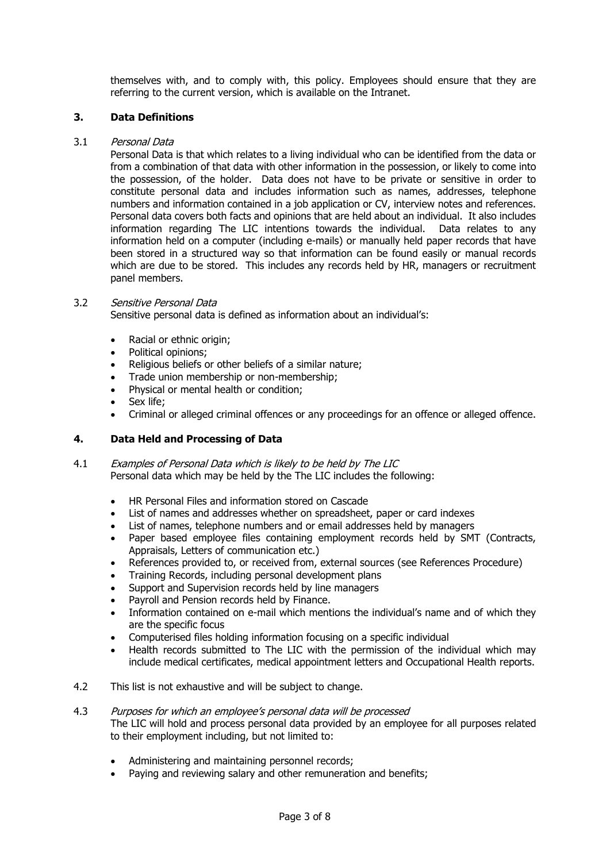themselves with, and to comply with, this policy. Employees should ensure that they are referring to the current version, which is available on the Intranet.

## **3. Data Definitions**

#### 3.1 Personal Data

Personal Data is that which relates to a living individual who can be identified from the data or from a combination of that data with other information in the possession, or likely to come into the possession, of the holder. Data does not have to be private or sensitive in order to constitute personal data and includes information such as names, addresses, telephone numbers and information contained in a job application or CV, interview notes and references. Personal data covers both facts and opinions that are held about an individual. It also includes information regarding The LIC intentions towards the individual. Data relates to any information held on a computer (including e-mails) or manually held paper records that have been stored in a structured way so that information can be found easily or manual records which are due to be stored. This includes any records held by HR, managers or recruitment panel members.

#### 3.2 Sensitive Personal Data

Sensitive personal data is defined as information about an individual's:

- Racial or ethnic origin;
- Political opinions;
- Religious beliefs or other beliefs of a similar nature;
- Trade union membership or non-membership;
- Physical or mental health or condition;
- Sex life:
- Criminal or alleged criminal offences or any proceedings for an offence or alleged offence.

#### **4. Data Held and Processing of Data**

- 4.1 Examples of Personal Data which is likely to be held by The LIC Personal data which may be held by the The LIC includes the following:
	- HR Personal Files and information stored on Cascade
	- List of names and addresses whether on spreadsheet, paper or card indexes
	- List of names, telephone numbers and or email addresses held by managers
	- Paper based employee files containing employment records held by SMT (Contracts, Appraisals, Letters of communication etc.)
	- References provided to, or received from, external sources (see References Procedure)
	- Training Records, including personal development plans
	- Support and Supervision records held by line managers
	- Payroll and Pension records held by Finance.
	- Information contained on e-mail which mentions the individual's name and of which they are the specific focus
	- Computerised files holding information focusing on a specific individual
	- Health records submitted to The LIC with the permission of the individual which may include medical certificates, medical appointment letters and Occupational Health reports.
- 4.2 This list is not exhaustive and will be subject to change.

## 4.3 Purposes for which an employee's personal data will be processed

The LIC will hold and process personal data provided by an employee for all purposes related to their employment including, but not limited to:

- Administering and maintaining personnel records;
- Paving and reviewing salary and other remuneration and benefits;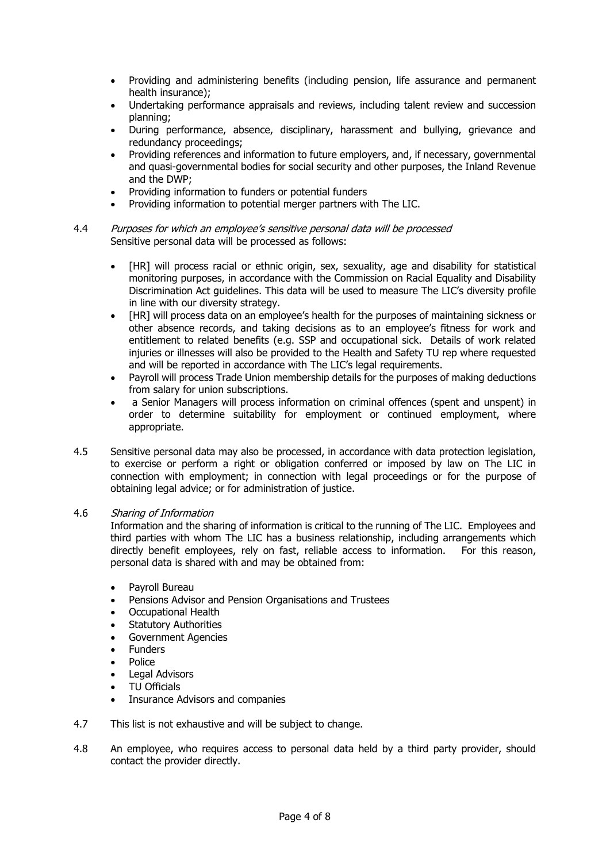- Providing and administering benefits (including pension, life assurance and permanent health insurance);
- Undertaking performance appraisals and reviews, including talent review and succession planning;
- During performance, absence, disciplinary, harassment and bullying, grievance and redundancy proceedings;
- Providing references and information to future employers, and, if necessary, governmental and quasi-governmental bodies for social security and other purposes, the Inland Revenue and the DWP;
- Providing information to funders or potential funders
- Providing information to potential merger partners with The LIC.

#### 4.4 Purposes for which an employee's sensitive personal data will be processed Sensitive personal data will be processed as follows:

- [HR] will process racial or ethnic origin, sex, sexuality, age and disability for statistical monitoring purposes, in accordance with the Commission on Racial Equality and Disability Discrimination Act guidelines. This data will be used to measure The LIC's diversity profile in line with our diversity strategy.
- [HR] will process data on an employee's health for the purposes of maintaining sickness or other absence records, and taking decisions as to an employee's fitness for work and entitlement to related benefits (e.g. SSP and occupational sick. Details of work related injuries or illnesses will also be provided to the Health and Safety TU rep where requested and will be reported in accordance with The LIC's legal requirements.
- Payroll will process Trade Union membership details for the purposes of making deductions from salary for union subscriptions.
- a Senior Managers will process information on criminal offences (spent and unspent) in order to determine suitability for employment or continued employment, where appropriate.
- 4.5 Sensitive personal data may also be processed, in accordance with data protection legislation, to exercise or perform a right or obligation conferred or imposed by law on The LIC in connection with employment; in connection with legal proceedings or for the purpose of obtaining legal advice; or for administration of justice.

#### 4.6 Sharing of Information

Information and the sharing of information is critical to the running of The LIC. Employees and third parties with whom The LIC has a business relationship, including arrangements which directly benefit employees, rely on fast, reliable access to information. For this reason, personal data is shared with and may be obtained from:

- Payroll Bureau
- Pensions Advisor and Pension Organisations and Trustees
- Occupational Health
- **Statutory Authorities**
- Government Agencies
- **Funders**
- Police
- Legal Advisors
- TU Officials
- Insurance Advisors and companies
- 4.7 This list is not exhaustive and will be subject to change.
- 4.8 An employee, who requires access to personal data held by a third party provider, should contact the provider directly.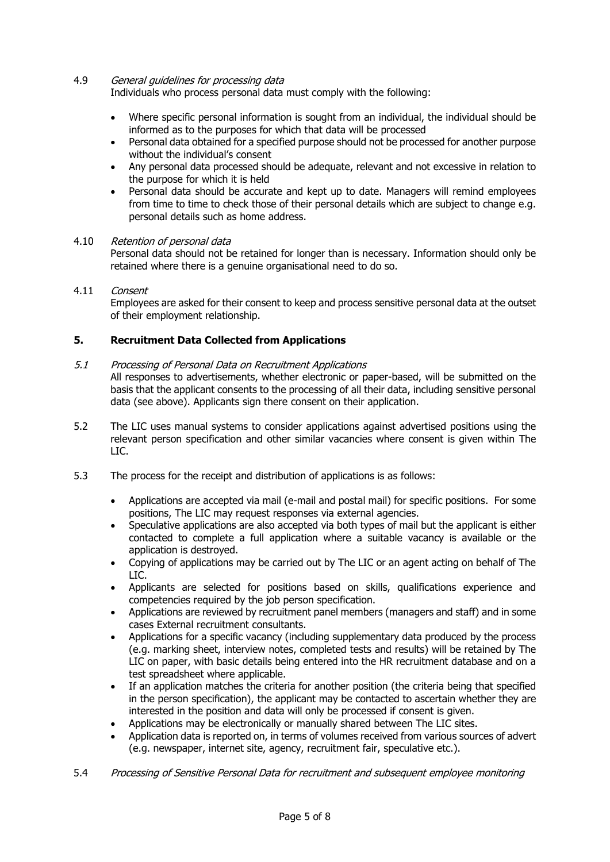#### 4.9 General guidelines for processing data

Individuals who process personal data must comply with the following:

- Where specific personal information is sought from an individual, the individual should be informed as to the purposes for which that data will be processed
- Personal data obtained for a specified purpose should not be processed for another purpose without the individual's consent
- Any personal data processed should be adequate, relevant and not excessive in relation to the purpose for which it is held
- Personal data should be accurate and kept up to date. Managers will remind employees from time to time to check those of their personal details which are subject to change e.g. personal details such as home address.

#### 4.10 Retention of personal data

Personal data should not be retained for longer than is necessary. Information should only be retained where there is a genuine organisational need to do so.

#### 4.11 Consent

Employees are asked for their consent to keep and process sensitive personal data at the outset of their employment relationship.

#### **5. Recruitment Data Collected from Applications**

#### 5.1 Processing of Personal Data on Recruitment Applications

All responses to advertisements, whether electronic or paper-based, will be submitted on the basis that the applicant consents to the processing of all their data, including sensitive personal data (see above). Applicants sign there consent on their application.

- 5.2 The LIC uses manual systems to consider applications against advertised positions using the relevant person specification and other similar vacancies where consent is given within The LIC.
- 5.3 The process for the receipt and distribution of applications is as follows:
	- Applications are accepted via mail (e-mail and postal mail) for specific positions. For some positions, The LIC may request responses via external agencies.
	- Speculative applications are also accepted via both types of mail but the applicant is either contacted to complete a full application where a suitable vacancy is available or the application is destroyed.
	- Copying of applications may be carried out by The LIC or an agent acting on behalf of The LIC.
	- Applicants are selected for positions based on skills, qualifications experience and competencies required by the job person specification.
	- Applications are reviewed by recruitment panel members (managers and staff) and in some cases External recruitment consultants.
	- Applications for a specific vacancy (including supplementary data produced by the process (e.g. marking sheet, interview notes, completed tests and results) will be retained by The LIC on paper, with basic details being entered into the HR recruitment database and on a test spreadsheet where applicable.
	- If an application matches the criteria for another position (the criteria being that specified in the person specification), the applicant may be contacted to ascertain whether they are interested in the position and data will only be processed if consent is given.
	- Applications may be electronically or manually shared between The LIC sites.
	- Application data is reported on, in terms of volumes received from various sources of advert (e.g. newspaper, internet site, agency, recruitment fair, speculative etc.).
- 5.4 Processing of Sensitive Personal Data for recruitment and subsequent employee monitoring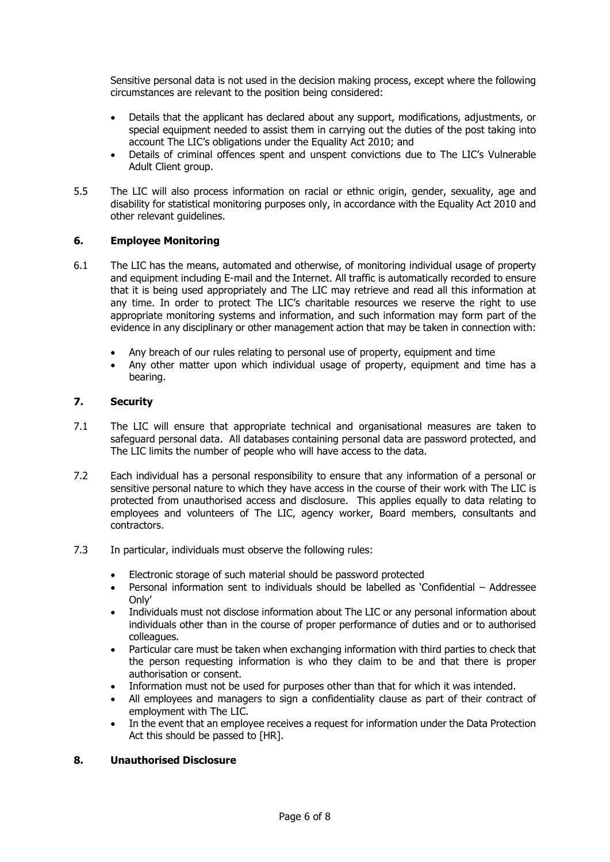Sensitive personal data is not used in the decision making process, except where the following circumstances are relevant to the position being considered:

- Details that the applicant has declared about any support, modifications, adjustments, or special equipment needed to assist them in carrying out the duties of the post taking into account The LIC's obligations under the Equality Act 2010; and
- Details of criminal offences spent and unspent convictions due to The LIC's Vulnerable Adult Client group.
- 5.5 The LIC will also process information on racial or ethnic origin, gender, sexuality, age and disability for statistical monitoring purposes only, in accordance with the Equality Act 2010 and other relevant guidelines.

## **6. Employee Monitoring**

- 6.1 The LIC has the means, automated and otherwise, of monitoring individual usage of property and equipment including E-mail and the Internet. All traffic is automatically recorded to ensure that it is being used appropriately and The LIC may retrieve and read all this information at any time. In order to protect The LIC's charitable resources we reserve the right to use appropriate monitoring systems and information, and such information may form part of the evidence in any disciplinary or other management action that may be taken in connection with:
	- Any breach of our rules relating to personal use of property, equipment and time
	- Any other matter upon which individual usage of property, equipment and time has a bearing.

## **7. Security**

- 7.1 The LIC will ensure that appropriate technical and organisational measures are taken to safeguard personal data. All databases containing personal data are password protected, and The LIC limits the number of people who will have access to the data.
- 7.2 Each individual has a personal responsibility to ensure that any information of a personal or sensitive personal nature to which they have access in the course of their work with The LIC is protected from unauthorised access and disclosure. This applies equally to data relating to employees and volunteers of The LIC, agency worker, Board members, consultants and contractors.
- 7.3 In particular, individuals must observe the following rules:
	- Electronic storage of such material should be password protected
	- Personal information sent to individuals should be labelled as 'Confidential Addressee Only'
	- Individuals must not disclose information about The LIC or any personal information about individuals other than in the course of proper performance of duties and or to authorised colleagues.
	- Particular care must be taken when exchanging information with third parties to check that the person requesting information is who they claim to be and that there is proper authorisation or consent.
	- Information must not be used for purposes other than that for which it was intended.
	- All employees and managers to sign a confidentiality clause as part of their contract of employment with The LIC.
	- In the event that an employee receives a request for information under the Data Protection Act this should be passed to [HR].

#### **8. Unauthorised Disclosure**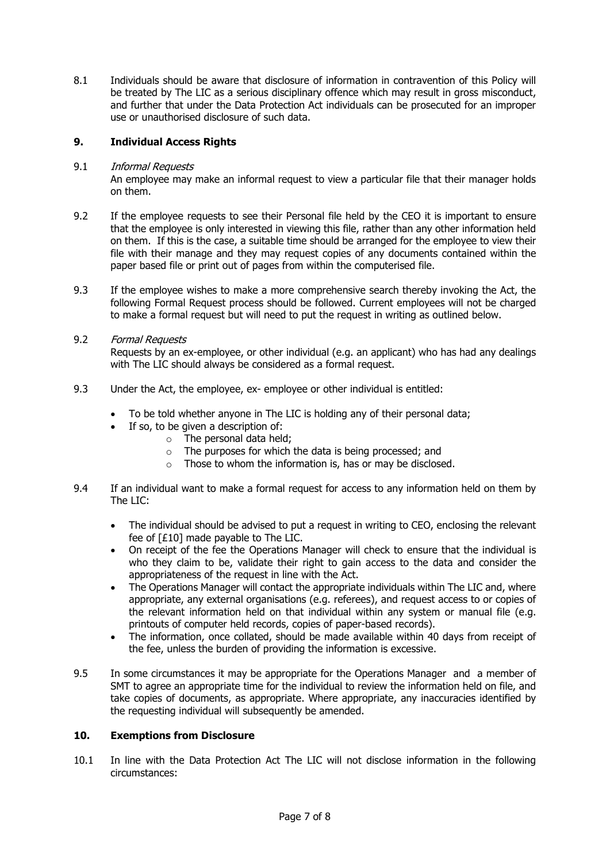8.1 Individuals should be aware that disclosure of information in contravention of this Policy will be treated by The LIC as a serious disciplinary offence which may result in gross misconduct, and further that under the Data Protection Act individuals can be prosecuted for an improper use or unauthorised disclosure of such data.

## **9. Individual Access Rights**

## 9.1 Informal Requests

An employee may make an informal request to view a particular file that their manager holds on them.

- 9.2 If the employee requests to see their Personal file held by the CEO it is important to ensure that the employee is only interested in viewing this file, rather than any other information held on them. If this is the case, a suitable time should be arranged for the employee to view their file with their manage and they may request copies of any documents contained within the paper based file or print out of pages from within the computerised file.
- 9.3 If the employee wishes to make a more comprehensive search thereby invoking the Act, the following Formal Request process should be followed. Current employees will not be charged to make a formal request but will need to put the request in writing as outlined below.
- 9.2 Formal Requests

Requests by an ex-employee, or other individual (e.g. an applicant) who has had any dealings with The LIC should always be considered as a formal request.

- 9.3 Under the Act, the employee, ex- employee or other individual is entitled:
	- To be told whether anyone in The LIC is holding any of their personal data;
	- If so, to be given a description of:
		- o The personal data held;
			- o The purposes for which the data is being processed; and
			- o Those to whom the information is, has or may be disclosed.
- 9.4 If an individual want to make a formal request for access to any information held on them by The LIC:
	- The individual should be advised to put a request in writing to CEO, enclosing the relevant fee of [£10] made payable to The LIC.
	- On receipt of the fee the Operations Manager will check to ensure that the individual is who they claim to be, validate their right to gain access to the data and consider the appropriateness of the request in line with the Act.
	- The Operations Manager will contact the appropriate individuals within The LIC and, where appropriate, any external organisations (e.g. referees), and request access to or copies of the relevant information held on that individual within any system or manual file (e.g. printouts of computer held records, copies of paper-based records).
	- The information, once collated, should be made available within 40 days from receipt of the fee, unless the burden of providing the information is excessive.
- 9.5 In some circumstances it may be appropriate for the Operations Manager and a member of SMT to agree an appropriate time for the individual to review the information held on file, and take copies of documents, as appropriate. Where appropriate, any inaccuracies identified by the requesting individual will subsequently be amended.

## **10. Exemptions from Disclosure**

10.1 In line with the Data Protection Act The LIC will not disclose information in the following circumstances: